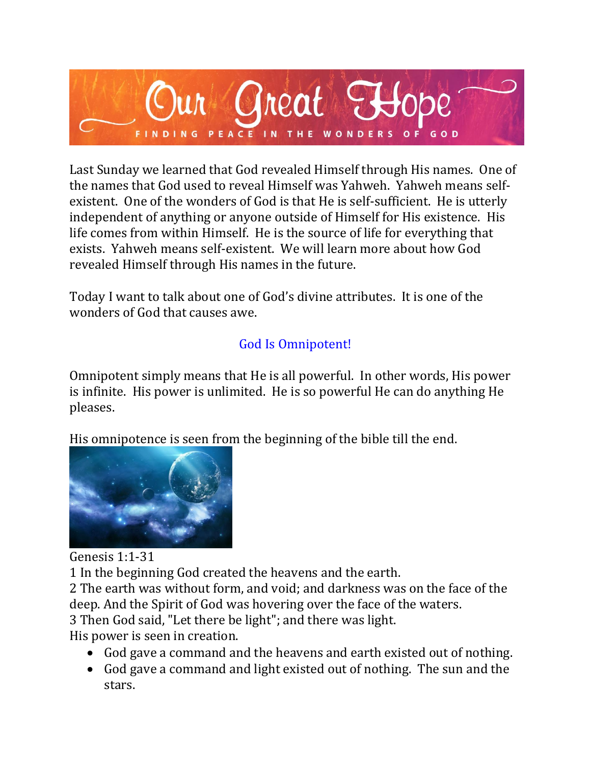

Last Sunday we learned that God revealed Himself through His names. One of the names that God used to reveal Himself was Yahweh. Yahweh means selfexistent. One of the wonders of God is that He is self-sufficient. He is utterly independent of anything or anyone outside of Himself for His existence. His life comes from within Himself. He is the source of life for everything that exists. Yahweh means self-existent. We will learn more about how God revealed Himself through His names in the future.

Today I want to talk about one of God's divine attributes. It is one of the wonders of God that causes awe.

# God Is Omnipotent!

Omnipotent simply means that He is all powerful. In other words, His power is infinite. His power is unlimited. He is so powerful He can do anything He pleases.

His omnipotence is seen from the beginning of the bible till the end.



Genesis 1:1-31

1 In the beginning God created the heavens and the earth.

2 The earth was without form, and void; and darkness was on the face of the deep. And the Spirit of God was hovering over the face of the waters.

3 Then God said, "Let there be light"; and there was light.

His power is seen in creation.

- God gave a command and the heavens and earth existed out of nothing.
- God gave a command and light existed out of nothing. The sun and the stars.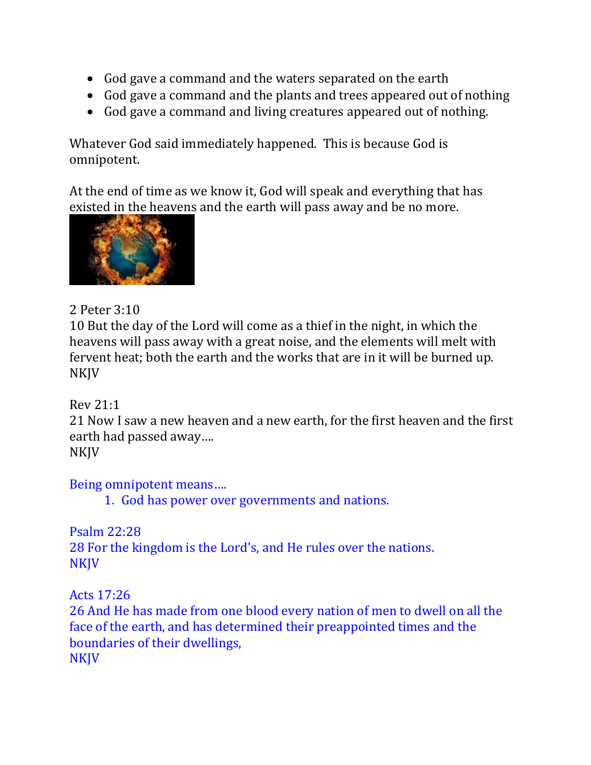- God gave a command and the waters separated on the earth
- God gave a command and the plants and trees appeared out of nothing
- God gave a command and living creatures appeared out of nothing.

Whatever God said immediately happened. This is because God is omnipotent.

At the end of time as we know it, God will speak and everything that has existed in the heavens and the earth will pass away and be no more.



# 2 Peter 3:10

10 But the day of the Lord will come as a thief in the night, in which the heavens will pass away with a great noise, and the elements will melt with fervent heat; both the earth and the works that are in it will be burned up. NKJV

### Rev 21:1

21 Now I saw a new heaven and a new earth, for the first heaven and the first earth had passed away….

NKJV

Being omnipotent means….

1. God has power over governments and nations.

Psalm 22:28 28 For the kingdom is the Lord's, and He rules over the nations. **NKJV** 

Acts 17:26

26 And He has made from one blood every nation of men to dwell on all the face of the earth, and has determined their preappointed times and the boundaries of their dwellings, **NKJV**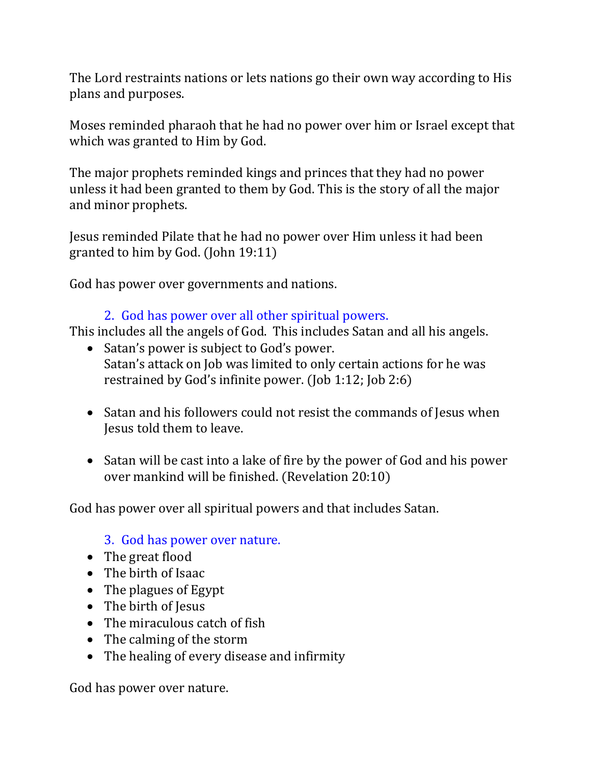The Lord restraints nations or lets nations go their own way according to His plans and purposes.

Moses reminded pharaoh that he had no power over him or Israel except that which was granted to Him by God.

The major prophets reminded kings and princes that they had no power unless it had been granted to them by God. This is the story of all the major and minor prophets.

Jesus reminded Pilate that he had no power over Him unless it had been granted to him by God. (John 19:11)

God has power over governments and nations.

### 2. God has power over all other spiritual powers.

This includes all the angels of God. This includes Satan and all his angels.

- Satan's power is subject to God's power. Satan's attack on Job was limited to only certain actions for he was restrained by God's infinite power. (Job 1:12; Job 2:6)
- Satan and his followers could not resist the commands of Jesus when Jesus told them to leave.
- Satan will be cast into a lake of fire by the power of God and his power over mankind will be finished. (Revelation 20:10)

God has power over all spiritual powers and that includes Satan.

### 3. God has power over nature.

- The great flood
- The birth of Isaac
- The plagues of Egypt
- The birth of Jesus
- The miraculous catch of fish
- The calming of the storm
- The healing of every disease and infirmity

God has power over nature.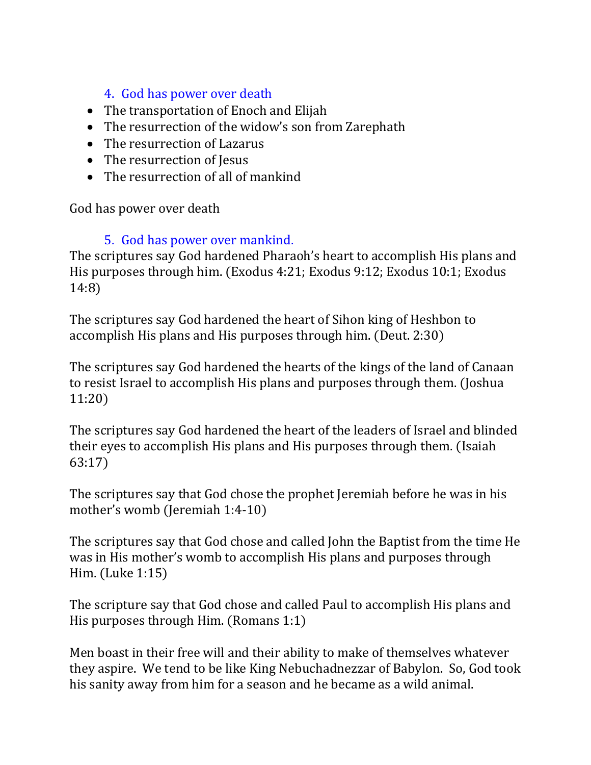# 4. God has power over death

- The transportation of Enoch and Elijah
- The resurrection of the widow's son from Zarephath
- The resurrection of Lazarus
- The resurrection of Jesus
- The resurrection of all of mankind

God has power over death

### 5. God has power over mankind.

The scriptures say God hardened Pharaoh's heart to accomplish His plans and His purposes through him. (Exodus 4:21; Exodus 9:12; Exodus 10:1; Exodus 14:8)

The scriptures say God hardened the heart of Sihon king of Heshbon to accomplish His plans and His purposes through him. (Deut. 2:30)

The scriptures say God hardened the hearts of the kings of the land of Canaan to resist Israel to accomplish His plans and purposes through them. (Joshua 11:20)

The scriptures say God hardened the heart of the leaders of Israel and blinded their eyes to accomplish His plans and His purposes through them. (Isaiah 63:17)

The scriptures say that God chose the prophet Jeremiah before he was in his mother's womb (Jeremiah 1:4-10)

The scriptures say that God chose and called John the Baptist from the time He was in His mother's womb to accomplish His plans and purposes through Him. (Luke 1:15)

The scripture say that God chose and called Paul to accomplish His plans and His purposes through Him. (Romans 1:1)

Men boast in their free will and their ability to make of themselves whatever they aspire. We tend to be like King Nebuchadnezzar of Babylon. So, God took his sanity away from him for a season and he became as a wild animal.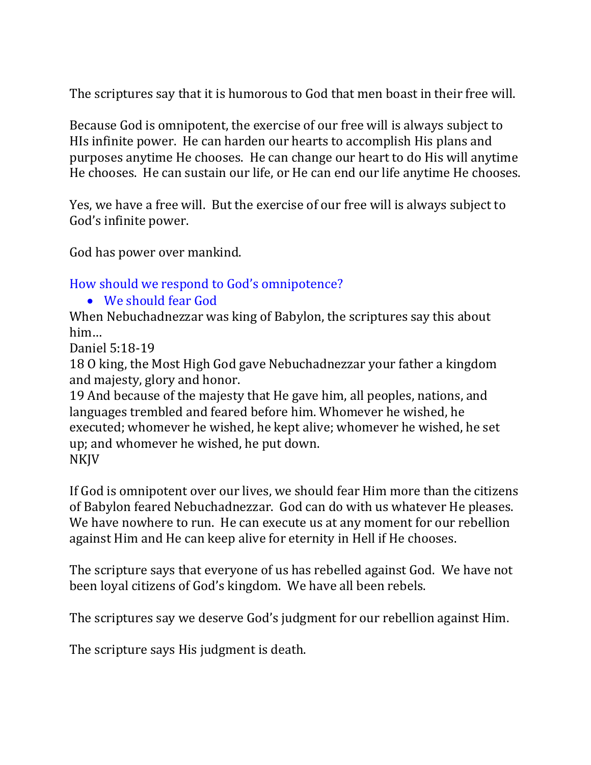The scriptures say that it is humorous to God that men boast in their free will.

Because God is omnipotent, the exercise of our free will is always subject to HIs infinite power. He can harden our hearts to accomplish His plans and purposes anytime He chooses. He can change our heart to do His will anytime He chooses. He can sustain our life, or He can end our life anytime He chooses.

Yes, we have a free will. But the exercise of our free will is always subject to God's infinite power.

God has power over mankind.

How should we respond to God's omnipotence?

#### • We should fear God

When Nebuchadnezzar was king of Babylon, the scriptures say this about him…

Daniel 5:18-19

18 O king, the Most High God gave Nebuchadnezzar your father a kingdom and majesty, glory and honor.

19 And because of the majesty that He gave him, all peoples, nations, and languages trembled and feared before him. Whomever he wished, he executed; whomever he wished, he kept alive; whomever he wished, he set up; and whomever he wished, he put down. NKJV

If God is omnipotent over our lives, we should fear Him more than the citizens of Babylon feared Nebuchadnezzar. God can do with us whatever He pleases. We have nowhere to run. He can execute us at any moment for our rebellion against Him and He can keep alive for eternity in Hell if He chooses.

The scripture says that everyone of us has rebelled against God. We have not been loyal citizens of God's kingdom. We have all been rebels.

The scriptures say we deserve God's judgment for our rebellion against Him.

The scripture says His judgment is death.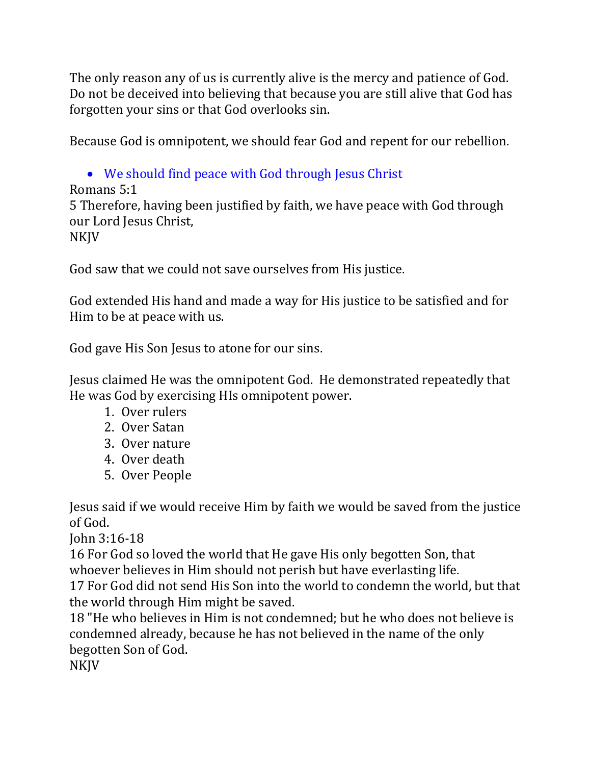The only reason any of us is currently alive is the mercy and patience of God. Do not be deceived into believing that because you are still alive that God has forgotten your sins or that God overlooks sin.

Because God is omnipotent, we should fear God and repent for our rebellion.

• We should find peace with God through Jesus Christ Romans 5:1 5 Therefore, having been justified by faith, we have peace with God through our Lord Jesus Christ, NKJV

God saw that we could not save ourselves from His justice.

God extended His hand and made a way for His justice to be satisfied and for Him to be at peace with us.

God gave His Son Jesus to atone for our sins.

Jesus claimed He was the omnipotent God. He demonstrated repeatedly that He was God by exercising HIs omnipotent power.

- 1. Over rulers
- 2. Over Satan
- 3. Over nature
- 4. Over death
- 5. Over People

Jesus said if we would receive Him by faith we would be saved from the justice of God.

John 3:16-18

16 For God so loved the world that He gave His only begotten Son, that whoever believes in Him should not perish but have everlasting life.

17 For God did not send His Son into the world to condemn the world, but that the world through Him might be saved.

18 "He who believes in Him is not condemned; but he who does not believe is condemned already, because he has not believed in the name of the only begotten Son of God.

NKJV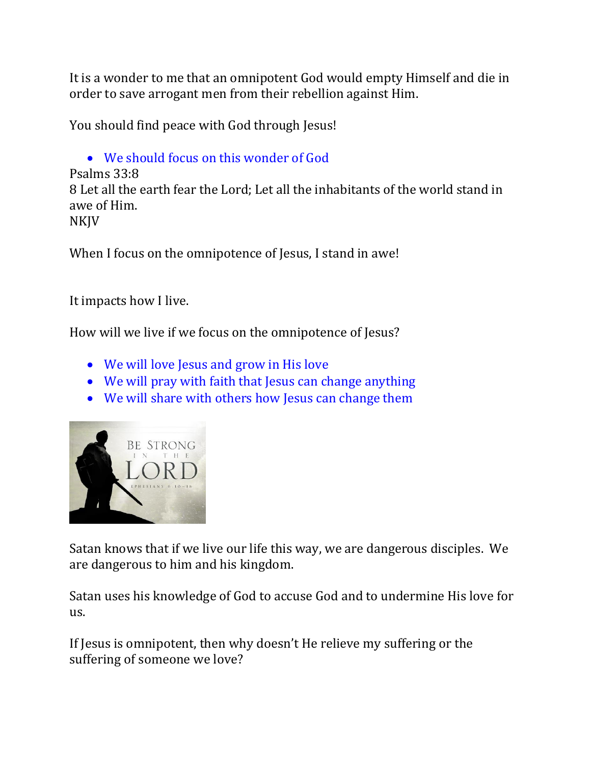It is a wonder to me that an omnipotent God would empty Himself and die in order to save arrogant men from their rebellion against Him.

You should find peace with God through Jesus!

```
• We should focus on this wonder of God
Psalms 33:8
8 Let all the earth fear the Lord; Let all the inhabitants of the world stand in 
awe of Him. 
NKJV
```
When I focus on the omnipotence of Jesus, I stand in awe!

It impacts how I live.

How will we live if we focus on the omnipotence of Jesus?

- We will love Jesus and grow in His love
- We will pray with faith that Jesus can change anything
- We will share with others how Jesus can change them



Satan knows that if we live our life this way, we are dangerous disciples. We are dangerous to him and his kingdom.

Satan uses his knowledge of God to accuse God and to undermine His love for us.

If Jesus is omnipotent, then why doesn't He relieve my suffering or the suffering of someone we love?